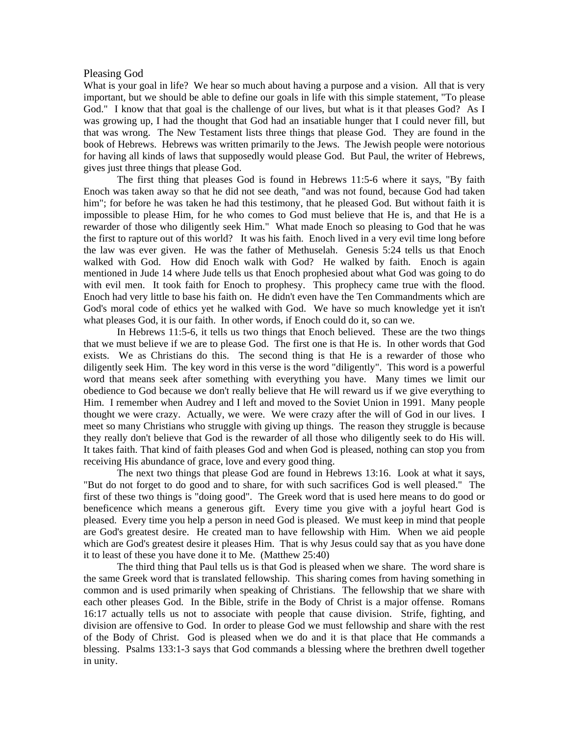## Pleasing God

What is your goal in life? We hear so much about having a purpose and a vision. All that is very important, but we should be able to define our goals in life with this simple statement, "To please God." I know that that goal is the challenge of our lives, but what is it that pleases God? As I was growing up, I had the thought that God had an insatiable hunger that I could never fill, but that was wrong. The New Testament lists three things that please God. They are found in the book of Hebrews. Hebrews was written primarily to the Jews. The Jewish people were notorious for having all kinds of laws that supposedly would please God. But Paul, the writer of Hebrews, gives just three things that please God.

 The first thing that pleases God is found in Hebrews 11:5-6 where it says, "By faith Enoch was taken away so that he did not see death, "and was not found, because God had taken him"; for before he was taken he had this testimony, that he pleased God. But without faith it is impossible to please Him, for he who comes to God must believe that He is, and that He is a rewarder of those who diligently seek Him." What made Enoch so pleasing to God that he was the first to rapture out of this world? It was his faith. Enoch lived in a very evil time long before the law was ever given. He was the father of Methuselah. Genesis 5:24 tells us that Enoch walked with God. How did Enoch walk with God? He walked by faith. Enoch is again mentioned in Jude 14 where Jude tells us that Enoch prophesied about what God was going to do with evil men. It took faith for Enoch to prophesy. This prophecy came true with the flood. Enoch had very little to base his faith on. He didn't even have the Ten Commandments which are God's moral code of ethics yet he walked with God. We have so much knowledge yet it isn't what pleases God, it is our faith. In other words, if Enoch could do it, so can we.

 In Hebrews 11:5-6, it tells us two things that Enoch believed. These are the two things that we must believe if we are to please God. The first one is that He is. In other words that God exists. We as Christians do this. The second thing is that He is a rewarder of those who diligently seek Him. The key word in this verse is the word "diligently". This word is a powerful word that means seek after something with everything you have. Many times we limit our obedience to God because we don't really believe that He will reward us if we give everything to Him. I remember when Audrey and I left and moved to the Soviet Union in 1991. Many people thought we were crazy. Actually, we were. We were crazy after the will of God in our lives. I meet so many Christians who struggle with giving up things. The reason they struggle is because they really don't believe that God is the rewarder of all those who diligently seek to do His will. It takes faith. That kind of faith pleases God and when God is pleased, nothing can stop you from receiving His abundance of grace, love and every good thing.

 The next two things that please God are found in Hebrews 13:16. Look at what it says, "But do not forget to do good and to share, for with such sacrifices God is well pleased." The first of these two things is "doing good". The Greek word that is used here means to do good or beneficence which means a generous gift. Every time you give with a joyful heart God is pleased. Every time you help a person in need God is pleased. We must keep in mind that people are God's greatest desire. He created man to have fellowship with Him. When we aid people which are God's greatest desire it pleases Him. That is why Jesus could say that as you have done it to least of these you have done it to Me. (Matthew 25:40)

 The third thing that Paul tells us is that God is pleased when we share. The word share is the same Greek word that is translated fellowship. This sharing comes from having something in common and is used primarily when speaking of Christians. The fellowship that we share with each other pleases God. In the Bible, strife in the Body of Christ is a major offense. Romans 16:17 actually tells us not to associate with people that cause division. Strife, fighting, and division are offensive to God. In order to please God we must fellowship and share with the rest of the Body of Christ. God is pleased when we do and it is that place that He commands a blessing. Psalms 133:1-3 says that God commands a blessing where the brethren dwell together in unity.